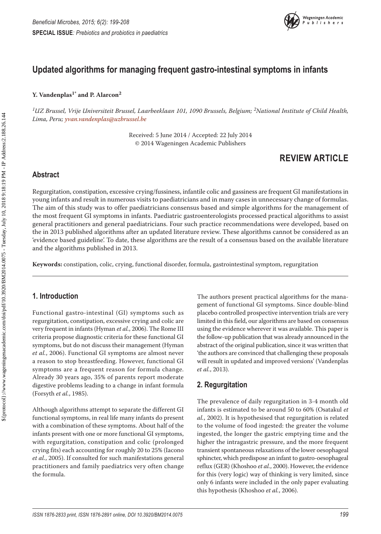

# **Updated algorithms for managing frequent gastro-intestinal symptoms in infants**

#### **Y. Vandenplas1\* and P. Alarcon2**

*1UZ Brussel, Vrije Universiteit Brussel, Laarbeeklaan 101, 1090 Brussels, Belgium; 2National Institute of Child Health, Lima, Peru; [yvan.vandenplas@uzbrussel.be](mailto:yvan.vandenplas@uzbrussel.be)*

> Received: 5 June 2014 / Accepted: 22 July 2014 © 2014 Wageningen Academic Publishers

# **REVIEW ARTICLE**

#### **Abstract**

Regurgitation, constipation, excessive crying/fussiness, infantile colic and gassiness are frequent GI manifestations in young infants and result in numerous visits to paediatricians and in many cases in unnecessary change of formulas. The aim of this study was to offer paediatricians consensus based and simple algorithms for the management of the most frequent GI symptoms in infants. Paediatric gastroenterologists processed practical algorithms to assist general practitioners and general paediatricians. Four such practice recommendations were developed, based on the in 2013 published algorithms after an updated literature review. These algorithms cannot be considered as an 'evidence based guideline'. To date, these algorithms are the result of a consensus based on the available literature and the algorithms published in 2013.

**Keywords:** constipation, colic, crying, functional disorder, formula, gastrointestinal symptom, regurgitation

### **1. Introduction**

Functional gastro-intestinal (GI) symptoms such as regurgitation, constipation, excessive crying and colic are very frequent in infants (Hyman *et al.*, 2006). The Rome III criteria propose diagnostic criteria for these functional GI symptoms, but do not discuss their management (Hyman *et al.*, 2006). Functional GI symptoms are almost never a reason to stop breastfeeding. However, functional GI symptoms are a frequent reason for formula change. Already 30 years ago, 35% of parents report moderate digestive problems leading to a change in infant formula (Forsyth *et al.*, 1985).

Although algorithms attempt to separate the different GI functional symptoms, in real life many infants do present with a combination of these symptoms. About half of the infants present with one or more functional GI symptoms, with regurgitation, constipation and colic (prolonged crying fits) each accounting for roughly 20 to 25% (Iacono *et al.*, 2005). If consulted for such manifestations general practitioners and family paediatrics very often change the formula.

The authors present practical algorithms for the management of functional GI symptoms. Since double-blind placebo controlled prospective intervention trials are very limited in this field, our algorithms are based on consensus using the evidence wherever it was available. This paper is the follow-up publication that was already announced in the abstract of the original publication, since it was written that 'the authors are convinced that challenging these proposals will result in updated and improved versions' (Vandenplas *et al.*, 2013).

### **2. Regurgitation**

The prevalence of daily regurgitation in 3-4 month old infants is estimated to be around 50 to 60% (Osatakul *et al.*, 2002). It is hypothesised that regurgitation is related to the volume of food ingested: the greater the volume ingested, the longer the gastric emptying time and the higher the intragastric pressure, and the more frequent transient spontaneous relaxations of the lower oesophageal sphincter, which predispose an infant to gastro-oesophageal reflux (GER) (Khoshoo *et al.*, 2000). However, the evidence for this (very logic) way of thinking is very limited, since only 6 infants were included in the only paper evaluating this hypothesis (Khoshoo *et al.*, 2006).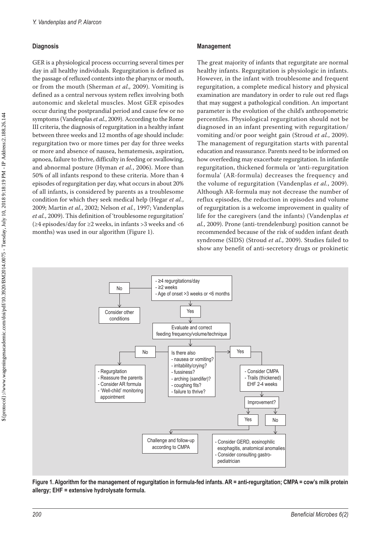#### **Diagnosis**

GER is a physiological process occurring several times per day in all healthy individuals. Regurgitation is defined as the passage of refluxed contents into the pharynx or mouth, or from the mouth (Sherman *et al.,* 2009). Vomiting is defined as a central nervous system reflex involving both autonomic and skeletal muscles. Most GER episodes occur during the postprandial period and cause few or no symptoms (Vandenplas *et al.*, 2009). According to the Rome III criteria, the diagnosis of regurgitation in a healthy infant between three weeks and 12 months of age should include: regurgitation two or more times per day for three weeks or more and absence of nausea, hematemesis, aspiration, apnoea, failure to thrive, difficulty in feeding or swallowing, and abnormal posture (Hyman *et al.*, 2006). More than 50% of all infants respond to these criteria. More than 4 episodes of regurgitation per day, what occurs in about 20% of all infants, is considered by parents as a troublesome condition for which they seek medical help (Hegar *et al.*, 2009; Martin *et al.*, 2002; Nelson *et al.*, 1997; Vandenplas *et al.*, 2009). This definition of 'troublesome regurgitation' (≥4 episodes/day for ≥2 weeks, in infants >3 weeks and <6 months) was used in our algorithm (Figure 1).

#### **Management**

The great majority of infants that regurgitate are normal healthy infants. Regurgitation is physiologic in infants. However, in the infant with troublesome and frequent regurgitation, a complete medical history and physical examination are mandatory in order to rule out red flags that may suggest a pathological condition. An important parameter is the evolution of the child's anthropometric percentiles. Physiological regurgitation should not be diagnosed in an infant presenting with regurgitation/ vomiting and/or poor weight gain (Stroud *et al.*, 2009). The management of regurgitation starts with parental education and reassurance. Parents need to be informed on how overfeeding may exacerbate regurgitation. In infantile regurgitation, thickened formula or 'anti-regurgitation formula' (AR-formula) decreases the frequency and the volume of regurgitation (Vandenplas *et al.*, 2009). Although AR-formula may not decrease the number of reflux episodes, the reduction in episodes and volume of regurgitation is a welcome improvement in quality of life for the caregivers (and the infants) (Vandenplas *et al.*, 2009). Prone (anti-trendelenburg) position cannot be recommended because of the risk of sudden infant death syndrome (SIDS) (Stroud *et al.*, 2009). Studies failed to show any benefit of anti-secretory drugs or prokinetic



**Figure 1. Algorithm for the management of regurgitation in formula-fed infants. AR = anti-regurgitation; CMPA = cow's milk protein allergy; EHF = extensive hydrolysate formula.**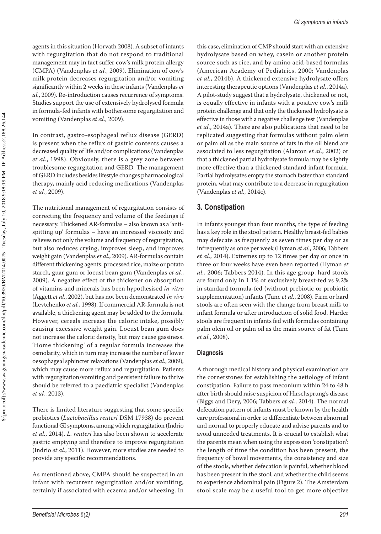agents in this situation (Horvath 2008). A subset of infants with regurgitation that do not respond to traditional management may in fact suffer cow's milk protein allergy (CMPA) (Vandenplas *et al.*, 2009). Elimination of cow's milk protein decreases regurgitation and/or vomiting significantly within 2 weeks in these infants (Vandenplas *et al.*, 2009). Re-introduction causes recurrence of symptoms. Studies support the use of extensively hydrolysed formula in formula-fed infants with bothersome regurgitation and vomiting (Vandenplas *et al.*, 2009).

In contrast, gastro-esophageal reflux disease (GERD) is present when the reflux of gastric contents causes a decreased quality of life and/or complications (Vandenplas *et al.*, 1998). Obviously, there is a grey zone between troublesome regurgitation and GERD. The management of GERD includes besides lifestyle changes pharmacological therapy, mainly acid reducing medications (Vandenplas *et al.*, 2009).

The nutritional management of regurgitation consists of correcting the frequency and volume of the feedings if necessary. Thickened AR-formulas – also known as a 'antispitting up' formulas – have an increased viscosity and relieves not only the volume and frequency of regurgitation, but also reduces crying, improves sleep, and improves weight gain (Vandenplas *et al.*, 2009). AR-formulas contain different thickening agents: processed rice, maize or potato starch, guar gum or locust bean gum (Vandenplas *et al.*, 2009). A negative effect of the thickener on absorption of vitamins and minerals has been hypothesised *in vitro* (Aggett *et al.*, 2002), but has not been demonstrated *in vivo* (Levtchenko *et al.*, 1998). If commercial AR-formula is not available, a thickening agent may be added to the formula. However, cereals increase the caloric intake, possibly causing excessive weight gain. Locust bean gum does not increase the caloric density, but may cause gassiness. 'Home thickening' of a regular formula increases the osmolarity, which in turn may increase the number of lower oesophageal sphincter relaxations (Vandenplas *et al.*, 2009), which may cause more reflux and regurgitation. Patients with regurgitation/vomiting and persistent failure to thrive should be referred to a paediatric specialist (Vandenplas *et al.*, 2013).

There is limited literature suggesting that some specific probiotics (*Lactobacillus reuteri* DSM 17938) do prevent functional GI symptoms, among which regurgitation (Indrio *et al.*, 2014). *L. reuteri* has also been shown to accelerate gastric emptying and therefore to improve regurgitation (Indrio *et al.*, 2011). However, more studies are needed to provide any specific recommendations.

As mentioned above, CMPA should be suspected in an infant with recurrent regurgitation and/or vomiting, certainly if associated with eczema and/or wheezing. In this case, elimination of CMP should start with an extensive hydrolysate based on whey, casein or another protein source such as rice, and by amino acid-based formulas (American Academy of Pediatrics, 2000; Vandenplas *et al.*, 2014b). A thickened extensive hydrolysate offers interesting therapeutic options (Vandenplas *et al.*, 2014a). A pilot-study suggest that a hydrolysate, thickened or not, is equally effective in infants with a positive cow's milk protein challenge and that only the thickened hydrolysate is effective in those with a negative challenge test (Vandenplas *et al.*, 2014a). There are also publications that need to be replicated suggesting that formulas without palm olein or palm oil as the main source of fats in the oil blend are associated to less regurgitation (Alarcon *et al.*, 2002) or that a thickened partial hydrolysate formula may be slightly more effective than a thickened standard infant formula. Partial hydrolysates empty the stomach faster than standard protein, what may contribute to a decrease in regurgitation (Vandenplas *et al.,* 2014c).

### **3. Constipation**

In infants younger than four months, the type of feeding has a key role in the stool pattern. Healthy breast-fed babies may defecate as frequently as seven times per day or as infrequently as once per week (Hyman *et al.*, 2006; Tabbers *et al.*, 2014). Extremes up to 12 times per day or once in three or four weeks have even been reported (Hyman *et al.*, 2006; Tabbers 2014). In this age group, hard stools are found only in 1.1% of exclusively breast-fed vs 9.2% in standard formula-fed (without prebiotic or probiotic supplementation) infants (Tunc *et al.*, 2008). Firm or hard stools are often seen with the change from breast milk to infant formula or after introduction of solid food. Harder stools are frequent in infants fed with formulas containing palm olein oil or palm oil as the main source of fat (Tunc *et al.*, 2008).

#### **Diagnosis**

A thorough medical history and physical examination are the cornerstones for establishing the aetiology of infant constipation. Failure to pass meconium within 24 to 48 h after birth should raise suspicion of Hirschsprung's disease (Biggs and Dery, 2006; Tabbers *et al.*, 2014). The normal defecation pattern of infants must be known by the health care professional in order to differentiate between abnormal and normal to properly educate and advise parents and to avoid unneeded treatments. It is crucial to establish what the parents mean when using the expression 'constipation': the length of time the condition has been present, the frequency of bowel movements, the consistency and size of the stools, whether defecation is painful, whether blood has been present in the stool, and whether the child seems to experience abdominal pain (Figure 2). The Amsterdam stool scale may be a useful tool to get more objective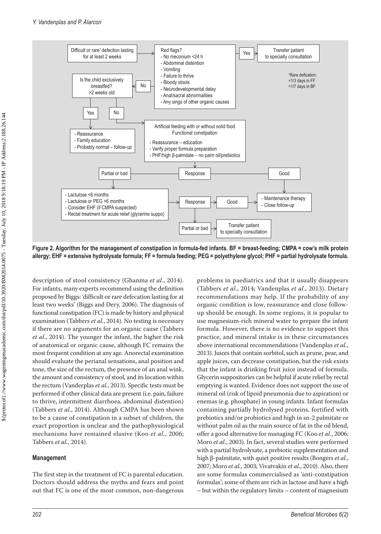

**Figure 2. Algorithm for the management of constipation in formula-fed infants. BF = breast-feeding; CMPA = cow's milk protein allergy; EHF = extensive hydrolysate formula; FF = formula feeding; PEG = polyethylene glycol; PHF = partial hydrolysate formula.**

description of stool consistency (Ghanma *et al.*, 2014). For infants, many experts recommend using the definition proposed by Biggs: 'difficult or rare defecation lasting for at least two weeks' (Biggs and Dery, 2006). The diagnosis of functional constipation (FC) is made by history and physical examination (Tabbers *et al.*, 2014). No testing is necessary if there are no arguments for an organic cause (Tabbers *et al.*, 2014). The younger the infant, the higher the risk of anatomical or organic cause, although FC remains the most frequent condition at any age. Anorectal examination should evaluate the perianal sensations, anal position and tone, the size of the rectum, the presence of an anal wink, the amount and consistency of stool, and its location within the rectum (Vanderplas *et al.*, 2013). Specific tests must be performed if other clinical data are present (i.e. pain, failure to thrive, intermittent diarrhoea, abdominal distention) (Tabbers *et al.*, 2014). Although CMPA has been shown to be a cause of constipation in a subset of children, the exact proportion is unclear and the pathophysiological mechanisms have remained elusive (Koo *et al.*, 2006; Tabbers *et al.*, 2014).

#### **Management**

The first step in the treatment of FC is parental education. Doctors should address the myths and fears and point out that FC is one of the most common, non-dangerous problems in paediatrics and that it usually disappears (Tabbers *et al.*, 2014; Vandenplas *et al.*, 2013). Dietary recommendations may help. If the probability of any organic condition is low, reassurance and close followup should be enough. In some regions, it is popular to use magnesium-rich mineral water to prepare the infant formula. However, there is no evidence to support this practice, and mineral intake is in these circumstances above international recommendations (Vandenplas *et al.*, 2013). Juices that contain sorbitol, such as prune, pear, and apple juices, can decrease constipation, but the risk exists that the infant is drinking fruit juice instead of formula. Glycerin suppositories can be helpful if acute relief by rectal emptying is wanted. Evidence does not support the use of mineral oil (risk of lipoid pneumonia due to aspiration) or enemas (e.g. phosphate) in young infants. Infant formulas containing partially hydrolysed proteins, fortified with prebiotics and/or probiotics and high in sn-2 palmitate or without palm oil as the main source of fat in the oil blend, offer a good alternative for managing FC (Koo *et al.*, 2006; Moro *et al.*, 2003). In fact, several studies were performed with a partial hydrolysate, a prebiotic supplementation and high β-palmitate, with quiet positive results (Bongers *et al.*, 2007; Moro *et al.*, 2003; Vivatvakin *et al.*, 2010). Also, there are some formulas commercialised as 'anti-constipation formulas'; some of them are rich in lactose and have a high – but within the regulatory limits – content of magnesium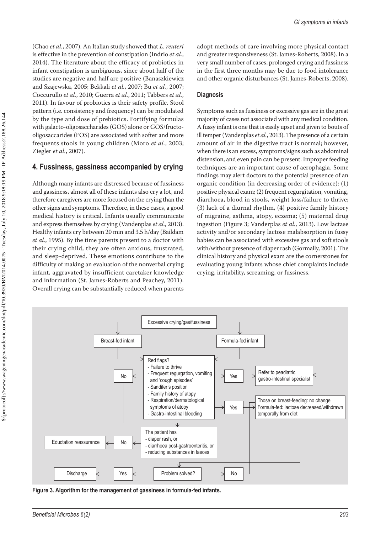(Chao *et al.*, 2007). An Italian study showed that *L. reuteri* is effective in the prevention of constipation (Indrio *et al.*, 2014). The literature about the efficacy of probiotics in infant constipation is ambiguous, since about half of the studies are negative and half are positive (Banaszkiewicz and Szajewska, 2005; Bekkali *et al.*, 2007; Bu *et al.*, 2007; Coccurullo *et al.*, 2010; Guerra *et al.*, 2011; Tabbers *et al.*, 2011). In favour of probiotics is their safety profile. Stool pattern (i.e. consistency and frequency) can be modulated by the type and dose of prebiotics. Fortifying formulas with galacto-oligosaccharides (GOS) alone or GOS/fructooligosaccarides (FOS) are associated with softer and more frequents stools in young children (Moro *et al.*, 2003; Ziegler *et al.*, 2007).

### **4. Fussiness, gassiness accompanied by crying**

Although many infants are distressed because of fussiness and gassiness, almost all of these infants also cry a lot, and therefore caregivers are more focused on the crying than the other signs and symptoms. Therefore, in these cases, a good medical history is critical. Infants usually communicate and express themselves by crying (Vandenplas *et al.*, 2013). Healthy infants cry between 20 min and 3.5 h/day (Baildam *et al.*, 1995). By the time parents present to a doctor with their crying child, they are often anxious, frustrated, and sleep-deprived. These emotions contribute to the difficulty of making an evaluation of the nonverbal crying infant, aggravated by insufficient caretaker knowledge and information (St. James-Roberts and Peachey, 2011). Overall crying can be substantially reduced when parents

adopt methods of care involving more physical contact and greater responsiveness (St. James-Roberts, 2008). In a very small number of cases, prolonged crying and fussiness in the first three months may be due to food intolerance and other organic disturbances (St. James-Roberts, 2008).

#### **Diagnosis**

Symptoms such as fussiness or excessive gas are in the great majority of cases not associated with any medical condition. A fussy infant is one that is easily upset and given to bouts of ill temper (Vandenplas *et al.*, 2013). The presence of a certain amount of air in the digestive tract is normal; however, when there is an excess, symptoms/signs such as abdominal distension, and even pain can be present. Improper feeding techniques are an important cause of aerophagia. Some findings may alert doctors to the potential presence of an organic condition (in decreasing order of evidence): (1) positive physical exam; (2) frequent regurgitation, vomiting, diarrhoea, blood in stools, weight loss/failure to thrive; (3) lack of a diurnal rhythm, (4) positive family history of migraine, asthma, atopy, eczema; (5) maternal drug ingestion (Figure 3; Vanderplas *et al.*, 2013). Low lactase activity and/or secondary lactose malabsorption in fussy babies can be associated with excessive gas and soft stools with/without presence of diaper rash (Gormally, 2001). The clinical history and physical exam are the cornerstones for evaluating young infants whose chief complaints include crying, irritability, screaming, or fussiness.



**Figure 3. Algorithm for the management of gassiness in formula-fed infants.**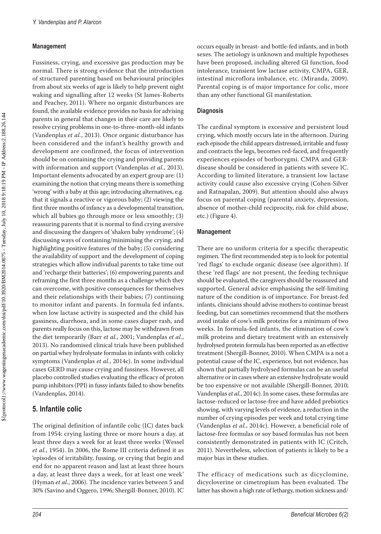#### **Management**

Fussiness, crying, and excessive gas production may be normal. There is strong evidence that the introduction of structured parenting based on behavioural principles from about six weeks of age is likely to help prevent night waking and signalling after 12 weeks (St James-Roberts and Peachey, 2011). Where no organic disturbances are found, the available evidence provides no basis for advising parents in general that changes in their care are likely to resolve crying problems in one-to-three-month-old infants (Vandenplas *et al.*, 2013). Once organic disturbance has been considered and the infant's healthy growth and development are confirmed, the focus of intervention should be on containing the crying and providing parents with information and support (Vandenplas *et al.*, 2013). Important elements advocated by an expert group are: (1) examining the notion that crying means there is something 'wrong' with a baby at this age; introducing alternatives, e.g. that it signals a reactive or vigorous baby; (2) viewing the first three months of infancy as a developmental transition, which all babies go through more or less smoothly; (3) reassuring parents that it is normal to find crying aversive and discussing the dangers of 'shaken baby syndrome'; (4) discussing ways of containing/minimising the crying, and highlighting positive features of the baby; (5) considering the availability of support and the development of coping strategies which allow individual parents to take time out and 'recharge their batteries'; (6) empowering parents and reframing the first three months as a challenge which they can overcome, with positive consequences for themselves and their relationships with their babies; (7) continuing to monitor infant and parents. In formula fed infants, when low lactase activity is suspected and the child has gassiness, diarrhoea, and in some cases diaper rash, and parents really focus on this, lactose may be withdrawn from the diet temporarily (Barr *et al.*, 2001; Vandenplas *et al.*, 2013). No randomised clinical trials have been published on partial whey hydrolysate formulas in infants with colicky symptoms (Vandenplas *et al.*, 2014c). In some individual cases GERD may cause crying and fussiness. However, all placebo controlled studies evaluating the efficacy of proton pump inhibitors (PPI) in fussy infants failed to show benefits (Vandenplas, 2014).

### **5. Infantile colic**

The original definition of infantile colic (IC) dates back from 1954: crying lasting three or more hours a day, at least three days a week for at least three weeks (Wessel *et al.*, 1954). In 2006, the Rome III criteria defined it as 'episodes of irritability, fussing, or crying that begin and end for no apparent reason and last at least three hours a day, at least three days a week, for at least one week' (Hyman *et al.*, 2006). The incidence varies between 5 and 30% (Savino and Oggero, 1996; Shergill-Bonner, 2010). IC

#### **Diagnosis**

The cardinal symptom is excessive and persistent loud crying, which mostly occurs late in the afternoon. During each episode the child appears distressed, irritable and fussy and contracts the legs, becomes red-faced, and frequently experiences episodes of borborygmi. CMPA and GERdisease should be considered in patients with severe IC. According to limited literature, a transient low lactase activity could cause also excessive crying (Cohen-Silver and Ratnapalan, 2009). But attention should also always focus on parental coping (parental anxiety, depression, absence of mother-child reciprocity, risk for child abuse, etc.) (Figure 4).

#### **Management**

There are no uniform criteria for a specific therapeutic regimen. The first recommended step is to look for potential 'red flags' to exclude organic disease (see algorithm). If these 'red flags' are not present, the feeding technique should be evaluated, the caregivers should be reassured and supported. General advice emphasising the self-limiting nature of the condition is of importance. For breast-fed infants, clinicians should advise mothers to continue breast feeding, but can sometimes recommend that the mothers avoid intake of cow's milk proteins for a minimum of two weeks. In formula-fed infants, the elimination of cow's milk proteins and dietary treatment with an extensively hydrolysed protein formula has been reported as an effective treatment (Shergill-Bonner, 2010). When CMPA is a not a potential cause of the IC, experience, but not evidence, has shown that partially hydrolysed formulas can be an useful alternative or in cases where an extensive hydrolysate would be too expensive or not available (Shergill-Bonner, 2010; Vandenplas *et al.*, 2014c). In some cases, these formulas are lactose-reduced or lactose-free and have added prebiotics showing, with varying levels of evidence, a reduction in the number of crying episodes per week and total crying time (Vandenplas *et al.*, 2014c). However, a beneficial role of lactose-free formulas or soy based formulas has not been consistently demonstrated in patients with IC (Critch, 2011). Nevertheless, selection of patients is likely to be a major bias in these studies.

The efficacy of medications such as dicyclomine, dicycloverine or cimetropium has been evaluated. The latter has shown a high rate of lethargy, motion sickness and/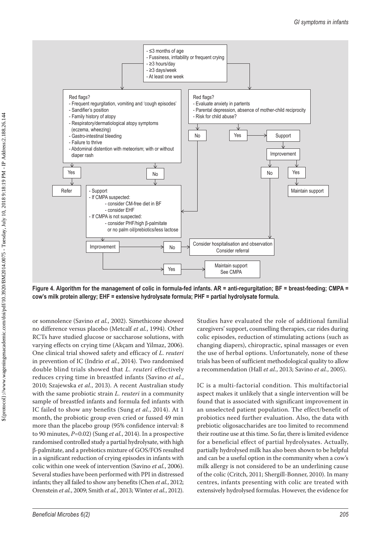

**Figure 4. Algorithm for the management of colic in formula-fed infants. AR = anti-regurgitation; BF = breast-feeding; CMPA = cow's milk protein allergy; EHF = extensive hydrolysate formula; PHF = partial hydrolysate formula.**

or somnolence (Savino *et al.*, 2002). Simethicone showed no difference versus placebo (Metcalf *et al.*, 1994). Other RCTs have studied glucose or saccharose solutions, with varying effects on crying time (Akçam and Yilmaz, 2006). One clinical trial showed safety and efficacy of *L. reuteri* in prevention of IC (Indrio *et al.*, 2014). Two randomised double blind trials showed that *L. reuteri* effectively reduces crying time in breastfed infants (Savino *et al.*, 2010; Szajewska *et al.*, 2013). A recent Australian study with the same probiotic strain *L. reuteri* in a community sample of breastfed infants and formula fed infants with IC failed to show any benefits (Sung *et al.*, 2014). At 1 month, the probiotic group even cried or fussed 49 min more than the placebo group (95% confidence interval: 8 to 90 minutes, *P*=0.02) (Sung *et al.*, 2014). In a prospective randomised controlled study a partial hydrolysate, with high β-palmitate, and a prebiotics mixture of GOS/FOS resulted in a significant reduction of crying episodes in infants with colic within one week of intervention (Savino *et al.*, 2006). Several studies have been performed with PPI in distressed infants; they all failed to show any benefits (Chen *et al.*, 2012; Orenstein *et al.*, 2009; Smith *et al.*, 2013; Winter *et al.*, 2012).

Studies have evaluated the role of additional familial caregivers' support, counselling therapies, car rides during colic episodes, reduction of stimulating actions (such as changing diapers), chiropractic, spinal massages or even the use of herbal options. Unfortunately, none of these trials has been of sufficient methodological quality to allow a recommendation (Hall *et al.*, 2013; Savino *et al.*, 2005).

IC is a multi-factorial condition. This multifactorial aspect makes it unlikely that a single intervention will be found that is associated with significant improvement in an unselected patient population. The effect/benefit of probiotics need further evaluation. Also, the data with prebiotic oligosaccharides are too limited to recommend their routine use at this time. So far, there is limited evidence for a beneficial effect of partial hydrolysates. Actually, partially hydrolysed milk has also been shown to be helpful and can be a useful option in the community when a cow's milk allergy is not considered to be an underlining cause of the colic (Critch, 2011; Shergill-Bonner, 2010). In many centres, infants presenting with colic are treated with extensively hydrolysed formulas. However, the evidence for

 \${protocol}://www.wageningenacademic.com/doi/pdf/10.3920/BM2014.0075 - Tuesday, July 10, 2018 9:18:19 PM - IP Address:2.188.26.144 \${protocol}//www.wageningenacademic.com/doi/pdf/10.3920/BM2014.0075 - Tuesday, July 10, 2018 9:18:19 PM - IP Address:2.188.26.144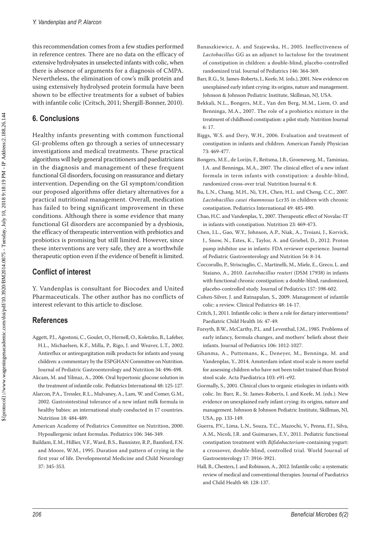this recommendation comes from a few studies performed in reference centres. There are no data on the efficacy of extensive hydrolysates in unselected infants with colic, when there is absence of arguments for a diagnosis of CMPA. Nevertheless, the elimination of cow's milk protein and using extensively hydrolysed protein formula have been shown to be effective treatments for a subset of babies with infantile colic (Critsch, 2011; Shergill-Bonner, 2010).

## **6. Conclusions**

Healthy infants presenting with common functional GI-problems often go through a series of unnecessary investigations and medical treatments. These practical algorithms will help general practitioners and paediatricians in the diagnosis and management of these frequent functional GI disorders, focusing on reassurance and dietary intervention. Depending on the GI symptom/condition our proposed algorithms offer dietary alternatives for a practical nutritional management. Overall, medication has failed to bring significant improvement in these conditions. Although there is some evidence that many functional GI disorders are accompanied by a dysbiosis, the efficacy of therapeutic intervention with prebiotics and probiotics is promising but still limited. However, since these interventions are very safe, they are a worthwhile therapeutic option even if the evidence of benefit is limited.

## **Conflict of interest**

Y. Vandenplas is consultant for Biocodex and United Pharmaceuticals. The other author has no conflicts of interest relevant to this article to disclose.

## **References**

- Aggett, P.J., Agostoni, C., Goulet, O., Hernell, O., Koletzko, B., Lafeber, H.L., Michaelsen, K.F., Milla, P., Rigo, J. and Weaver, L.T., 2002. Antireflux or antiregurgitation milk products for infants and young children: a commentary by the ESPGHAN Committee on Nutrition. Journal of Pediatric Gastroenterology and Nutrition 34: 496-498.
- Akcam, M. and Yilmaz, A., 2006. Oral hypertonic glucose solution in the treatment of infantile colic. Pediatrics International 48: 125-127.
- Alarcon, P.A., Tressler, R.L., Mulvaney, A., Lam, W. and Comer, G.M., 2002. Gastrointestinal tolerance of a new infant milk formula in healthy babies: an international study conducted in 17 countries. Nutrition 18: 484-489.
- American Academy of Pediatrics Committee on Nutrition, 2000. Hypoallergenic infant formulas. Pediatrics 106: 346-349.
- Baildam, E.M., Hillier, V.F., Ward, B.S., Bannister, R.P., Bamford, F.N. and Moore, W.M., 1995. Duration and pattern of crying in the first year of life. Developmental Medicine and Child Neurology 37: 345-353.
- Banaszkiewicz, A. and Szajewska, H., 2005. Ineffectiveness of *Lactobacillus* GG as an adjunct to lactulose for the treatment of constipation in children: a double-blind, placebo-controlled randomized trial. Journal of Pediatrics 146: 364-369.
- Barr, R.G., St. James-Roberts, I., Keefe, M. (eds.), 2001. New evidence on unexplained early infant crying: its origins, nature and management. Johnson & Johnson Pediatric Institute, Skillman, NJ, USA.
- Bekkali, N.L., Bongers, M.E., Van den Berg, M.M., Liem, O. and Benninga, M.A., 2007. The role of a probiotics mixture in the treatment of childhood constipation: a pilot study. Nutrition Journal 6: 17.
- Biggs, W.S. and Dery, W.H., 2006. Evaluation and treatment of constipation in infants and children. American Family Physician 73: 469-477.
- Bongers, M.E., de Lorijn, F., Reitsma, J.B., Groeneweg, M., Taminiau, J.A. and Benninga, M.A., 2007. The clinical effect of a new infant formula in term infants with constipation: a double-blind, randomized cross-over trial. Nutrition Journal 6: 8.
- Bu, L.N., Chang, M.H., Ni, Y.H., Chen, H.L. and Cheng, C.C., 2007. *Lactobacillus casei rhamnosus* Lcr35 in children with chronic constipation. Pediatrics International 49: 485-490.
- Chao, H.C. and Vandenplas, Y., 2007. Therapeutic effect of Novalac-IT in infants with constipation. Nutrition 23: 469-473.
- Chen, I.L., Gao, W.Y., Johnson, A.P., Niak, A., Troiani, J., Korvick, J., Snow, N., Estes, K., Taylor, A. and Griebel, D., 2012. Proton pump inhibitor use in infants: FDA reviewer experience. Journal of Pediatric Gastroenterology and Nutrition 54: 8-14.
- Coccorullo, P., Strisciuglio, C., Martinelli, M., Miele, E., Greco, L. and Staiano, A., 2010. *Lactobacillus reuteri* (DSM 17938) in infants with functional chronic constipation: a double-blind, randomized, placebo-controlled study. Journal of Pediatrics 157: 598-602.
- Cohen-Silver, J. and Ratnapalan, S., 2009. Management of infantile colic: a review. Clinical Pediatrics 48: 14-17.
- Critch, J., 2011. Infantile colic: is there a role for dietary interventions? Paediatric Child Health 16: 47-49.
- Forsyth, B.W., McCarthy, P.L. and Leventhal, J.M., 1985. Problems of early infancy, formula changes, and mothers' beliefs about their infants. Journal of Pediatrics 106: 1012-1027.
- Ghanma, A., Puttemans, K., Deneyer, M., Benninga, M. and Vandenplas, Y., 2014. Amsterdam infant stool scale is more useful for assessing children who have not been toilet trained than Bristol stool scale. Acta Paediatrica 103: e91-e92.
- Gormally, S., 2001. Clinical clues to organic etiologies in infants with colic. In: Barr, R., St. James-Roberts, I. and Keefe, M. (eds.). New evidence on unexplained early infant crying: its origins, nature and management. Johnson & Johnson Pediatric Institute, Skillman, NJ, USA, pp. 133-149.
- Guerra, P.V., Lima, L.N., Souza, T.C., Mazochi, V., Penna, F.J., Silva, A.M., Nicoli, J.R. and Guimaraes, E.V., 2011. Pediatric functional constipation treatment with *Bifidobacterium*-containing yogurt: a crossover, double-blind, controlled trial. World Journal of Gastroenterology 17: 3916-3921.
- Hall, B., Chesters, J. and Robinson, A., 2012. Infantile colic: a systematic review of medical and conventional therapies. Journal of Paediatrics and Child Health 48: 128-137.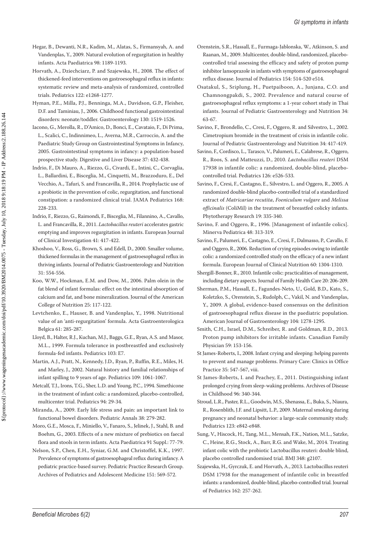- Hegar, B., Dewanti, N.R., Kadim, M., Alatas, S., Firmansyah, A. and Vandenplas, Y., 2009. Natural evolution of regurgitation in healthy infants. Acta Paediatrica 98: 1189-1193.
- Horvath, A., Dziechciarz, P. and Szajewska, H., 2008. The effect of thickened-feed interventions on gastroesophageal reflux in infants: systematic review and meta-analysis of randomized, controlled trials. Pediatrics 122: e1268-1277.
- Hyman, P.E., Milla, P.J., Benninga, M.A., Davidson, G.P., Fleisher, D.F. and Taminiau, J., 2006. Childhood functional gastrointestinal disorders: neonate/toddler. Gastroenterology 130: 1519-1526.
- Iacono, G., Merolla, R., D'Amico, D., Bonci, E., Cavataio, F., Di Prima, L., Scalici, C., Indinnimeo, L., Averna, M.R., Carroccio, A. and the Paediatric Study Group on Gastrointestinal Symptoms in Infancy, 2005. Gastrointestinal symptoms in infancy: a population-based prospective study. Digestive and Liver Disease 37: 432-438.
- Indrio, F., Di Mauro, A., Riezzo, G., Civardi, E., Intini, C., Corvaglia, L., Ballardini, E., Bisceglia, M., Cinquetti, M., Brazzoduro, E., Del Vecchio, A., Tafuri, S. and Francavilla, R., 2014. Prophylactic use of a probiotic in the prevention of colic, regurgitation, and functional constipation: a randomized clinical trial. JAMA Pediatrics 168: 228-233.
- Indrio, F., Riezzo, G., Raimondi, F., Bisceglia, M., Filannino, A., Cavallo, L. and Francavilla, R., 2011. *Lactobacillus reuteri* accelerates gastric emptying and improves regurgitation in infants. European Journal of Clinical Investigation 41: 417-422.
- Khoshoo, V., Ross, G., Brown, S. and Edell, D., 2000. Smaller volume, thickened formulas in the management of gastroesophageal reflux in thriving infants. Journal of Pediatric Gastroenterology and Nutrition 31: 554-556.
- Koo, W.W., Hockman, E.M. and Dow, M., 2006. Palm olein in the fat blend of infant formulas: effect on the intestinal absorption of calcium and fat, and bone mineralization. Journal of the American College of Nutrition 25: 117-122.
- Levtchenko, E., Hauser, B. and Vandenplas, Y., 1998. Nutritional value of an 'anti-regurgitation' formula. Acta Gastroenterologica Belgica 61: 285-287.
- Lloyd, B., Halter, R.J., Kuchan, M.J., Baggs, G.E., Ryan, A.S. and Masor, M.L., 1999. Formula tolerance in postbreastfed and exclusively formula-fed infants. Pediatrics 103: E7.
- Martin, A.J., Pratt, N., Kennedy, J.D., Ryan, P., Ruffin, R.E., Miles, H. and Marley, J., 2002. Natural history and familial relationships of infant spilling to 9 years of age. Pediatrics 109: 1061-1067.
- Metcalf, T.J., Irons, T.G., Sher, L.D. and Young, P.C., 1994. Simethicone in the treatment of infant colic: a randomized, placebo-controlled, multicenter trial. Pediatrics 94: 29-34.
- Miranda, A., 2009. Early life stress and pain: an important link to functional bowel disorders. Pediatric Annals 38: 279-282.
- Moro, G.E., Mosca, F., Miniello, V., Fanaro, S., Jelinek, J., Stahl, B. and Boehm, G., 2003. Effects of a new mixture of prebiotics on faecal flora and stools in term infants. Acta Paediatrica 91 Suppl.: 77-79.
- Nelson, S.P., Chen, E.H., Syniar, G.M. and Christoffel, K.K., 1997. Prevalence of symptoms of gastroesophageal reflux during infancy. A pediatric practice-based survey. Pediatric Practice Research Group. Archives of Pediatrics and Adolescent Medicine 151: 569-572.
- Orenstein, S.R., Hassall, E., Furmaga-Jablonska, W., Atkinson, S. and Raanan, M., 2009. Multicenter, double-blind, randomized, placebocontrolled trial assessing the efficacy and safety of proton pump inhibitor lansoprazole in infants with symptoms of gastroesophageal reflux disease. Journal of Pediatrics 154: 514-520 e514.
- Osatakul, S., Sriplung, H., Puetpaiboon, A., Junjana, C.O. and Chamnongpakdi, S., 2002. Prevalence and natural course of gastroesophageal reflux symptoms: a 1-year cohort study in Thai infants. Journal of Pediatric Gastroenterology and Nutrition 34: 63-67.
- Savino, F., Brondello, C., Cresi, F., Oggero, R. and Silvestro, L., 2002. Cimetropium bromide in the treatment of crisis in infantile colic. Journal of Pediatric Gastroenterology and Nutrition 34: 417-419.
- Savino, F., Cordisco, L., Tarasco, V., Palumeri, E., Calabrese, R., Oggero, R., Roos, S. and Matteuzzi, D., 2010. *Lactobacillus reuteri* DSM 17938 in infantile colic: a randomized, double-blind, placebocontrolled trial. Pediatrics 126: e526-533.
- Savino, F., Cresi, F., Castagno, E., Silvestro, L. and Oggero, R., 2005. A randomized double-blind placebo-controlled trial of a standardized extract of *Matricariae recutita*, *Foeniculum vulgare* and *Melissa officinalis* (ColiMil) in the treatment of breastfed colicky infants. Phytotherapy Research 19: 335-340.
- Savino, F. and Oggero, R., 1996. [Management of infantile colics]. Minerva Pediatrica 48: 313-319.
- Savino, F., Palumeri, E., Castagno, E., Cresi, F., Dalmasso, P., Cavallo, F. and Oggero, R., 2006. Reduction of crying episodes owing to infantile colic: a randomized controlled study on the efficacy of a new infant formula. European Journal of Clinical Nutrition 60: 1304-1310.
- Shergill-Bonner, R., 2010. Infantile colic: practicalities of management, including dietary aspects. Journal of Family Health Care 20: 206-209.
- Sherman, P.M., Hassall, E., Fagundes-Neto, U., Gold, B.D., Kato, S., Koletzko, S., Orenstein, S., Rudolph, C., Vakil, N. and Vandenplas, Y., 2009. A global, evidence-based consensus on the definition of gastroesophageal reflux disease in the paediatric population. American Journal of Gastroenterology 104: 1278-1295.
- Smith, C.H., Israel, D.M., Schreiber, R. and Goldman, R.D., 2013. Proton pump inhibitors for irritable infants. Canadian Family Physician 59: 153-156.
- St James-Roberts, I., 2008. Infant crying and sleeping: helping parents to prevent and manage problems. Primary Care: Clinics in Office Practice 35: 547-567, viii.
- St James-Roberts, I. and Peachey, E., 2011. Distinguishing infant prolonged crying from sleep-waking problems. Archives of Disease in Childhood 96: 340-344.
- Stroud, L.R., Paster, R.L., Goodwin, M.S., Shenassa, E., Buka, S., Niaura, R., Rosenblith, J.F. and Lipsitt, L.P., 2009. Maternal smoking during pregnancy and neonatal behavior: a large-scale community study. Pediatrics 123: e842-e848.
- Sung, V., Hiscock, H., Tang, M.L., Mensah, F.K., Nation, M.L., Satzke, C., Heine, R.G., Stock, A., Barr, R.G. and Wake, M., 2014. Treating infant colic with the probiotic Lactobacillus reuteri: double blind, placebo controlled randomised trial. BMJ 348: g2107.
- Szajewska, H., Gyrczuk, E. and Horvath, A., 2013. Lactobacillus reuteri DSM 17938 for the management of infantile colic in breastfed infants: a randomized, double-blind, placebo-controlled trial. Journal of Pediatrics 162: 257-262.